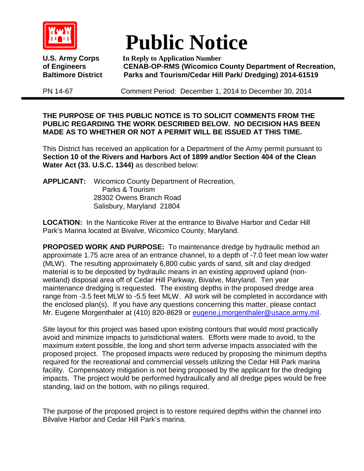

## **Public Notice**

**U.S. Army Corps In Reply to Application Number of Engineers CENAB-OP-RMS (Wicomico County Department of Recreation, Parks and Tourism/Cedar Hill Park/ Dredging) 2014-61519** 

PN 14-67 Comment Period: December 1, 2014 to December 30, 2014

**THE PURPOSE OF THIS PUBLIC NOTICE IS TO SOLICIT COMMENTS FROM THE PUBLIC REGARDING THE WORK DESCRIBED BELOW. NO DECISION HAS BEEN MADE AS TO WHETHER OR NOT A PERMIT WILL BE ISSUED AT THIS TIME.**

This District has received an application for a Department of the Army permit pursuant to **Section 10 of the Rivers and Harbors Act of 1899 and/or Section 404 of the Clean Water Act (33. U.S.C. 1344)** as described below:

**APPLICANT:** Wicomico County Department of Recreation, Parks & Tourism 28302 Owens Branch Road Salisbury, Maryland 21804

**LOCATION:** In the Nanticoke River at the entrance to Bivalve Harbor and Cedar Hill Park's Marina located at Bivalve, Wicomico County, Maryland.

**PROPOSED WORK AND PURPOSE:** To maintenance dredge by hydraulic method an approximate 1.75 acre area of an entrance channel, to a depth of -7.0 feet mean low water (MLW). The resulting approximately 6,800 cubic yards of sand, silt and clay dredged material is to be deposited by hydraulic means in an existing approved upland (nonwetland) disposal area off of Cedar Hill Parkway, Bivalve, Maryland. Ten year maintenance dredging is requested. The existing depths in the proposed dredge area range from -3.5 feet MLW to -5.5 feet MLW. All work will be completed in accordance with the enclosed plan(s). If you have any questions concerning this matter, please contact Mr. Eugene Morgenthaler at (410) 820-8629 or [eugene.j.morgenthaler@usace.army.mil.](mailto:eugene.j.morgenthaler@usace.army.mil)

Site layout for this project was based upon existing contours that would most practically avoid and minimize impacts to jurisdictional waters. Efforts were made to avoid, to the maximum extent possible, the long and short term adverse impacts associated with the proposed project. The proposed impacts were reduced by proposing the minimum depths required for the recreational and commercial vessels utilizing the Cedar Hill Park marina facility. Compensatory mitigation is not being proposed by the applicant for the dredging impacts. The project would be performed hydraulically and all dredge pipes would be free standing, laid on the bottom, with no pilings required.

The purpose of the proposed project is to restore required depths within the channel into Bilvalve Harbor and Cedar Hill Park's marina.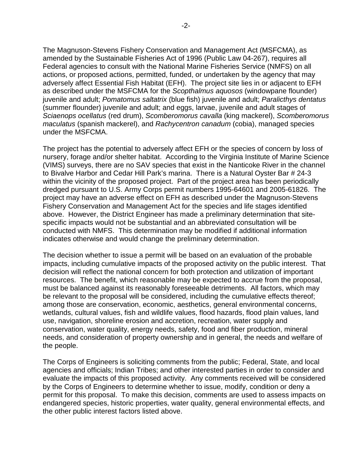The Magnuson-Stevens Fishery Conservation and Management Act (MSFCMA), as amended by the Sustainable Fisheries Act of 1996 (Public Law 04-267), requires all Federal agencies to consult with the National Marine Fisheries Service (NMFS) on all actions, or proposed actions, permitted, funded, or undertaken by the agency that may adversely affect Essential Fish Habitat (EFH). The project site lies in or adjacent to EFH as described under the MSFCMA for the *Scopthalmus aquosos* (windowpane flounder) juvenile and adult; *Pomatomus saltatrix* (blue fish) juvenile and adult; *Paralicthys dentatus* (summer flounder) juvenile and adult; and eggs, larvae, juvenile and adult stages of *Sciaenops ocellatus* (red drum), *Scomberomorus cavalla* (king mackerel), *Scomberomorus maculatus* (spanish mackerel), and *Rachycentron canadum* (cobia), managed species under the MSFCMA.

The project has the potential to adversely affect EFH or the species of concern by loss of nursery, forage and/or shelter habitat. According to the Virginia Institute of Marine Science (VIMS) surveys, there are no SAV species that exist in the Nanticoke River in the channel to Bivalve Harbor and Cedar Hill Park's marina. There is a Natural Oyster Bar # 24-3 within the vicinity of the proposed project. Part of the project area has been periodically dredged pursuant to U.S. Army Corps permit numbers 1995-64601 and 2005-61826. The project may have an adverse effect on EFH as described under the Magnuson-Stevens Fishery Conservation and Management Act for the species and life stages identified above. However, the District Engineer has made a preliminary determination that sitespecific impacts would not be substantial and an abbreviated consultation will be conducted with NMFS. This determination may be modified if additional information indicates otherwise and would change the preliminary determination.

The decision whether to issue a permit will be based on an evaluation of the probable impacts, including cumulative impacts of the proposed activity on the public interest. That decision will reflect the national concern for both protection and utilization of important resources. The benefit, which reasonable may be expected to accrue from the proposal, must be balanced against its reasonably foreseeable detriments. All factors, which may be relevant to the proposal will be considered, including the cumulative effects thereof; among those are conservation, economic, aesthetics, general environmental concerns, wetlands, cultural values, fish and wildlife values, flood hazards, flood plain values, land use, navigation, shoreline erosion and accretion, recreation, water supply and conservation, water quality, energy needs, safety, food and fiber production, mineral needs, and consideration of property ownership and in general, the needs and welfare of the people.

The Corps of Engineers is soliciting comments from the public; Federal, State, and local agencies and officials; Indian Tribes; and other interested parties in order to consider and evaluate the impacts of this proposed activity. Any comments received will be considered by the Corps of Engineers to determine whether to issue, modify, condition or deny a permit for this proposal. To make this decision, comments are used to assess impacts on endangered species, historic properties, water quality, general environmental effects, and the other public interest factors listed above.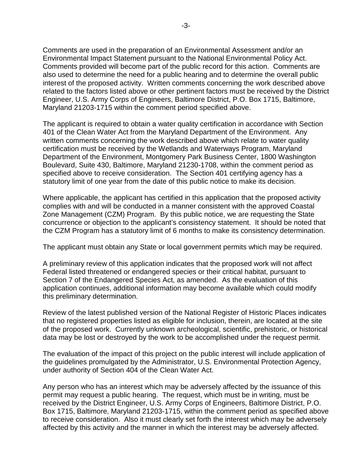Comments are used in the preparation of an Environmental Assessment and/or an Environmental Impact Statement pursuant to the National Environmental Policy Act. Comments provided will become part of the public record for this action. Comments are also used to determine the need for a public hearing and to determine the overall public interest of the proposed activity. Written comments concerning the work described above related to the factors listed above or other pertinent factors must be received by the District Engineer, U.S. Army Corps of Engineers, Baltimore District, P.O. Box 1715, Baltimore, Maryland 21203-1715 within the comment period specified above.

The applicant is required to obtain a water quality certification in accordance with Section 401 of the Clean Water Act from the Maryland Department of the Environment. Any written comments concerning the work described above which relate to water quality certification must be received by the Wetlands and Waterways Program, Maryland Department of the Environment, Montgomery Park Business Center, 1800 Washington Boulevard, Suite 430, Baltimore, Maryland 21230-1708, within the comment period as specified above to receive consideration. The Section 401 certifying agency has a statutory limit of one year from the date of this public notice to make its decision.

Where applicable, the applicant has certified in this application that the proposed activity complies with and will be conducted in a manner consistent with the approved Coastal Zone Management (CZM) Program. By this public notice, we are requesting the State concurrence or objection to the applicant's consistency statement. It should be noted that the CZM Program has a statutory limit of 6 months to make its consistency determination.

The applicant must obtain any State or local government permits which may be required.

A preliminary review of this application indicates that the proposed work will not affect Federal listed threatened or endangered species or their critical habitat, pursuant to Section 7 of the Endangered Species Act, as amended. As the evaluation of this application continues, additional information may become available which could modify this preliminary determination.

Review of the latest published version of the National Register of Historic Places indicates that no registered properties listed as eligible for inclusion, therein, are located at the site of the proposed work. Currently unknown archeological, scientific, prehistoric, or historical data may be lost or destroyed by the work to be accomplished under the request permit.

The evaluation of the impact of this project on the public interest will include application of the guidelines promulgated by the Administrator, U.S. Environmental Protection Agency, under authority of Section 404 of the Clean Water Act.

Any person who has an interest which may be adversely affected by the issuance of this permit may request a public hearing. The request, which must be in writing, must be received by the District Engineer, U.S. Army Corps of Engineers, Baltimore District, P.O. Box 1715, Baltimore, Maryland 21203-1715, within the comment period as specified above to receive consideration. Also it must clearly set forth the interest which may be adversely affected by this activity and the manner in which the interest may be adversely affected.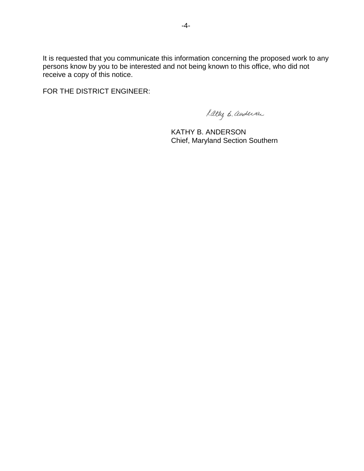It is requested that you communicate this information concerning the proposed work to any persons know by you to be interested and not being known to this office, who did not receive a copy of this notice.

FOR THE DISTRICT ENGINEER:

Lattig B. andersan

KATHY B. ANDERSON Chief, Maryland Section Southern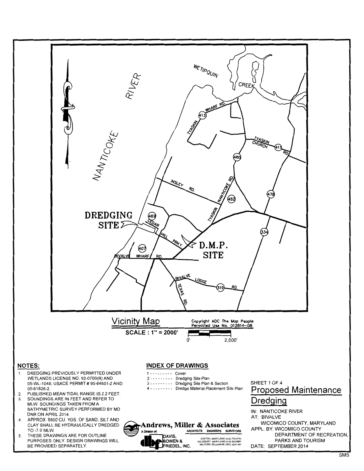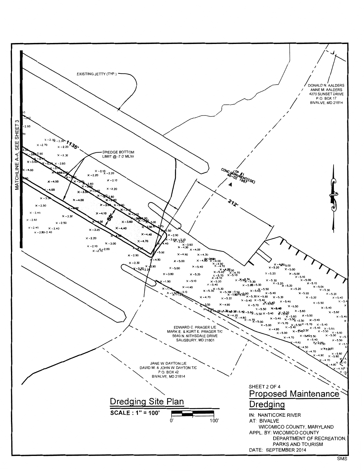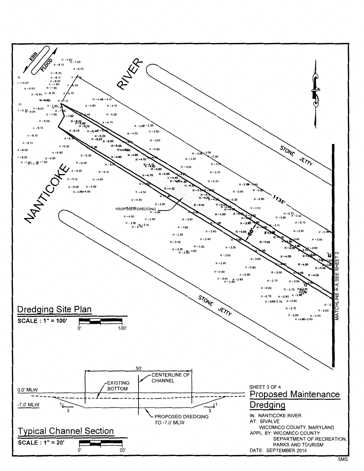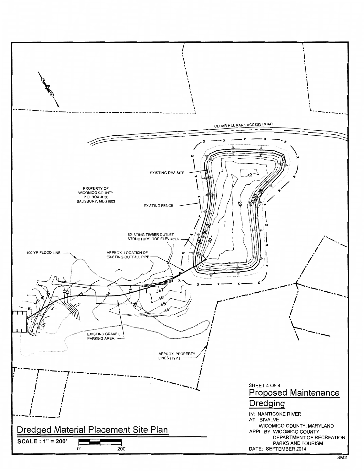